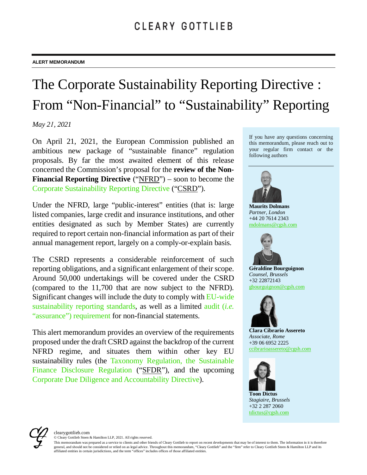# The Corporate Sustainability Reporting Directive : From "Non-Financial" to "Sustainability" Reporting

*May 21, 2021* 

On April 21, 2021, the European Commission published an ambitious new package of "sustainable finance" regulation proposals. By far the most awaited element of this release concerned the Commission's proposal for the **review of the Non-Financial Reporting Directive** ("NFRD") – soon to become the Corporate Sustainability Reporting Directive ("CSRD").

Under the NFRD, large "public-interest" entities (that is: large listed companies, large credit and insurance institutions, and other entities designated as such by Member States) are currently required to report certain non-financial information as part of their annual management report, largely on a comply-or-explain basis.

The CSRD represents a considerable reinforcement of such reporting obligations, and a significant enlargement of their scope. Around 50,000 undertakings will be covered under the CSRD (compared to the 11,700 that are now subject to the NFRD). Significant changes will include the duty to comply with EU-wide sustainability reporting standards, as well as a limited audit (*i.e.* "assurance") requirement for non-financial statements.

This alert memorandum provides an overview of the requirements proposed under the draft CSRD against the backdrop of the current NFRD regime, and situates them within other key EU sustainability rules (the Taxonomy Regulation, the Sustainable Finance Disclosure Regulation ("SFDR"), and the upcoming Corporate Due Diligence and Accountability Directive).

If you have any questions concerning this memorandum, please reach out to your regular firm contact or the following authors



**Maurits Dolmans** *Partner, London* +44 20 7614 2343 mdolmans@cgsh.com



**Géraldine Bourguignon** *Counsel, Brussels* +32 22872143 gbourguignon@cgsh.com



**Clara Cibrario Assereto** *Associate, Rome* +39 06 6952 2225 ccibrarioassereto@cgsh.com



**Toon Dictus** *Stagiaire, Brussels* +32 2 287 2060 tdictus@cgsh.com



© Cleary Gottlieb Steen & Hamilton LLP, 2021. All rights reserved.

This memorandum was prepared as a service to clients and other friends of Cleary Gottlieb to report on recent developments that may be of interest to them. The information in it is therefore<br>general, and should not be cons affiliated entities in certain jurisdictions, and the term "offices" includes offices of those affiliated entities.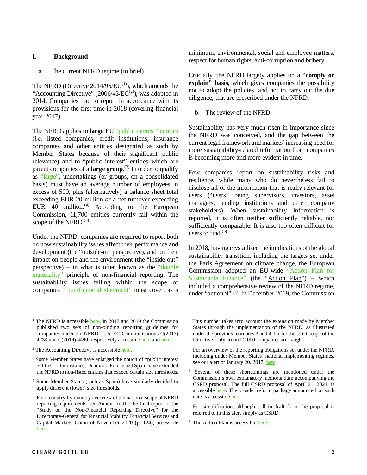# **I. Background**

### a. The current NFRD regime (in brief)

The NFRD (Directive  $2014/95/EU^{(1)}$  $2014/95/EU^{(1)}$  $2014/95/EU^{(1)}$ ), which amends the " $Accounting \, Directive$ " ([2](#page-1-1)006/43/ $EC^{(2)}$ ), was adopted in 2014. Companies had to report in accordance with its provisions for the first time in 2018 (covering financial year 2017).

The NFRD applies to **large** EU "public interest" entities (*i.e.* listed companies, credit institutions, insurance companies and other entities designated as such by Member States because of their significant public relevance) and to "public interest" entities which are parent companies of a **large group**. ([3\)](#page-1-2) In order to qualify as "large", undertakings (or groups, on a consolidated basis) must have an average number of employees in excess of 500, plus (alternatively) a balance sheet total exceeding EUR 20 million *or* a net turnover exceeding EUR  $40$  million.<sup>([4\)](#page-1-3)</sup> According to the European Commission, 11,700 entities currently fall within the scope of the NFRD. $(5)$  $(5)$  $(5)$ 

Under the NFRD, companies are required to report both on how sustainability issues affect their performance and development (the "outside-in" perspective), and on their impact on people and the environment (the "inside-out" perspective) – in what is often known as the "double materiality" principle of non-financial reporting. The sustainability issues falling within the scope of companies' "non-financial statement" must cover, as a minimum, environmental, social and employee matters, respect for human rights, anti-corruption and bribery.

Crucially, the NFRD largely applies on a "**comply or explain" basis,** which gives companies the possibility not to adopt the policies, and not to carry out the due diligence, that are prescribed under the NFRD.

### b. The review of the NFRD

Sustainability has very much risen in importance since the NFRD was conceived, and the gap between the current legal framework and markets' increasing need for more sustainability-related information from companies is becoming more and more evident in time.

Few companies report on sustainability risks and resilience, while many who do nevertheless fail to disclose all of the information that is really relevant for users ("users" being supervisors, investors, asset managers, lending institutions and other company stakeholders). When sustainability information is reported, it is often neither sufficiently reliable, nor sufficiently comparable. It is also too often difficult for users to find. $(6)$  $(6)$ 

In 2018, having crystallised the implications of the global sustainability transition, including the targets set under the Paris Agreement on climate change, the European Commission adopted an EU-wide "Action Plan for Sustainable Finance" (the "Action Plan") – which included a comprehensive review of the NFRD regime, under "action  $9$ ".<sup>([7](#page-1-5))</sup> In December 2019, the Commission

<span id="page-1-4"></span><span id="page-1-3"></span><sup>4</sup> Some Member States (such as Spain) have similarly decided to apply different (lower) size thresholds.

<sup>5</sup> This number takes into account the extension made by Member States through the implementation of the NFRD, as illustrated under the previous footnotes 3 and 4. Under the strict scope of the Directive, only around 2,000 companies are caught.

For an overview of the reporting obligations set under the NFRD, including under Member States' national implementing regimes, see our alert of January 20, 2017, here.

<sup>6</sup> Several of these shortcomings are mentioned under the Commission's own explanatory memorandum accompanying the CSRD proposal. The full CSRD proposal of April 21, 2021, is accessible [here.](https://ec.europa.eu/finance/docs/law/210421-proposal-corporate-sustainability-reporting_en.pdf) The broader reform package announced on such date is accessible [here.](https://ec.europa.eu/commission/presscorner/detail/en/ip_21_1804) 

For simplification, although still in draft form, the proposal is referred to in this alert simply as CSRD.

 $<sup>7</sup>$  The Action Plan is accessible here.</sup>

 $\overline{a}$ 

<span id="page-1-0"></span><sup>&</sup>lt;sup>1</sup> The NFRD is accessibl[e here.](https://eur-lex.europa.eu/legal-content/EN/TXT/PDF/?uri=CELEX:32014L0095&from=EN) In 2017 and 2019 the Commission published two sets of non-binding reporting guidelines for companies under the NFRD – see EC Communications C(2017) 4234 and C(2019) 4490, respectively accessible [here](https://eur-lex.europa.eu/legal-content/EN/TXT/PDF/?uri=CELEX:52017XC0705(01)&from=EN) and here.

<span id="page-1-1"></span><sup>&</sup>lt;sup>2</sup> The Accounting Directive is accessibl[e here.](https://eur-lex.europa.eu/legal-content/EN/TXT/PDF/?uri=CELEX:02013L0034-20141211&from=EN)

<span id="page-1-2"></span><sup>3</sup> Some Member States have enlarged the notion of "public interest entities" – for instance, Denmark, France and Spain have extended the NFRD to non-listed entities that exceed certain size thresholds.

<span id="page-1-5"></span>For a country-by-country overview of the national scope of NFRD reporting requirements, see Annex I to the the final report of the "Study on the Non-Financial Reporting Directive" for the Directorate-General for Financial Stability, Financial Services and Capital Markets Union of November 2020 (p. 124), accessible [here.](https://op.europa.eu/de/publication-detail/-/publication/1ef8fe0e-98e1-11eb-b85c-01aa75ed71a1/language-en)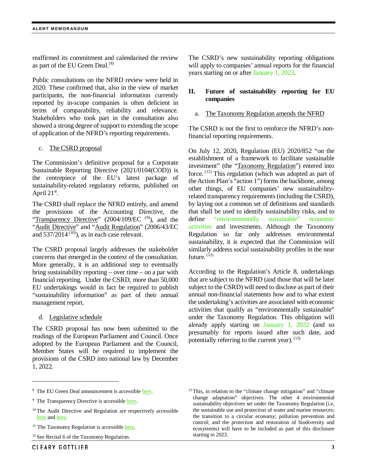reaffirmed its commitment and calendarised the review as part of the EU Green Deal.<sup>([8\)](#page-2-0)</sup>

Public consultations on the NFRD review were held in 2020. These confirmed that, also in the view of market participants, the non-financial information currently reported by in-scope companies is often deficient in terms of comparability, reliability and relevance. Stakeholders who took part in the consultation also showed a strong degree of support to extending the scope of application of the NFRD's reporting requirements.

#### c. The CSRD proposal

The Commission's definitive proposal for a Corporate Sustainable Reporting Directive (2021/0104(COD)) is the centrepiece of the EU's latest package of sustainability-related regulatory reforms, published on April  $21^{st}$ .

The CSRD shall replace the NFRD entirely, and amend the provisions of the Accounting Directive, the "Transparency Directive"  $(2004/109/EC$ <sup>([9\)](#page-2-1)</sup>), and the "Audit Directive" and "Audit Regulation" (2006/43/EC and  $537/2014^{(10)}$  $537/2014^{(10)}$  $537/2014^{(10)}$ , as in each case relevant.

The CSRD proposal largely addresses the stakeholder concerns that emerged in the context of the consultation. More generally, it is an additional step to eventually bring sustainability reporting – over time – on a par with financial reporting. Under the CSRD, more than 50,000 EU undertakings would in fact be required to publish "sustainability information" as part of their annual management report.

d. Legislative schedule

The CSRD proposal has now been submitted to the readings of the European Parliament and Council. Once adopted by the European Parliament and the Council, Member States will be required to implement the provisions of the CSRD into national law by December 1, 2022.

The CSRD's new sustainability reporting obligations will apply to companies' annual reports for the financial years starting on or after January 1, 2023.

# **II. Future of sustainability reporting for EU companies**

# The Taxonomy Regulation amends the NFRD

The CSRD is not the first to reinforce the NFRD's nonfinancial reporting requirements.

On July 12, 2020, Regulation (EU) 2020/852 "on the establishment of a framework to facilitate sustainable investment" (the "Taxonomy Regulation") entered into force. ([11\)](#page-2-3) This regulation (which was adopted as part of the Action Plan's "action 1") forms the backbone, among other things, of EU companies' new sustainabilityrelated transparency requirements (including the CSRD), by laying out a common set of definitions and standards that shall be used to identify sustainability risks, and to define "environmentally sustainable" economic activities and investments. Although the Taxonomy Regulation so far only addresses environmental sustainability, it is expected that the Commission will similarly address social sustainability profiles in the near future.  $(12)$  $(12)$  $(12)$ 

According to the Regulation's Article 8, undertakings that are subject to the NFRD (and those that will be later subject to the CSRD) will need to disclose as part of their annual non-financial statements how and to what extent the undertaking's activities are associated with economic activities that qualify as "environmentally sustainable" under the Taxonomy Regulation. This obligation will already apply starting on January 1, 2022 (and so presumably for reports issued after such date, and potentially referring to the current year).  $(13)$  $(13)$ 

 $\overline{a}$ 

<span id="page-2-0"></span><sup>8</sup> The EU Green Deal announcement is accessible [here.](https://eur-lex.europa.eu/legal-content/EN/TXT/?qid=1588580774040&uri=CELEX%3A52019DC0640https://eur-lex.europa.eu/legal-content/EN/TXT/PDF/?uri=CELEX:52018DC0097&from=EN) 

<span id="page-2-1"></span><sup>&</sup>lt;sup>9</sup> The Transparency Directive is accessibl[e here.](https://eur-lex.europa.eu/legal-content/EN/TXT/?qid=1588580774040&uri=CELEX%3A52019DC0640https://eur-lex.europa.eu/legal-content/EN/TXT/PDF/?uri=CELEX:52018DC0097&from=EN)

<span id="page-2-2"></span><sup>&</sup>lt;sup>10</sup>The Audit Directive and Regulation are respectively accessible [here](https://eur-lex.europa.eu/legal-content/en/ALL/?uri=CELEX:32006L0043) an[d here.](https://www.jdsupra.com/legalnews/european-commission-proposes-new-2946927/)

<span id="page-2-3"></span> $11$  The Taxonomy Regulation is accessibl[e here.](https://eur-lex.europa.eu/legal-content/EN/TXT/PDF/?uri=CELEX:32020R0852&from=EN)

<span id="page-2-4"></span><sup>&</sup>lt;sup>12</sup> See Recital 6 of the Taxonomy Regulation.

<sup>&</sup>lt;sup>13</sup>This, in relation to the "climate change mitigation" and "climate change adaptation" objectives. The other 4 environmental sustainability objectives set under the Taxonomy Regulation (*i.e*, the sustainable use and protection of water and marine resources; the transition to a circular economy; pollution prevention and control; and the protection and restoration of biodiversity and ecosystems) will have to be included as part of this disclosure starting in 2023.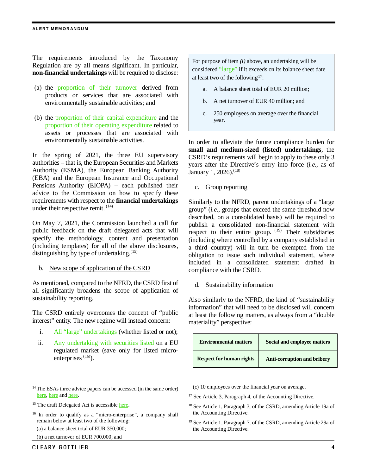#### **ALERT MEMORANDUM**

The requirements introduced by the Taxonomy Regulation are by all means significant. In particular, **non-financial undertakings** will be required to disclose:

- (a) the proportion of their turnover derived from products or services that are associated with environmentally sustainable activities; and
- (b) the proportion of their capital expenditure and the proportion of their operating expenditure related to assets or processes that are associated with environmentally sustainable activities.

In the spring of 2021, the three EU supervisory authorities – that is, the European Securities and Markets Authority (ESMA), the European Banking Authority (EBA) and the European Insurance and Occupational Pensions Authority (EIOPA) – each published their advice to the Commission on how to specify these requirements with respect to the **financial undertakings** under their respective remit. ([14](#page-3-0))

On May 7, 2021, the Commission launched a call for public feedback on the draft delegated acts that will specify the methodology, content and presentation (including templates) for all of the above disclosures, distinguishing by type of undertaking.<sup>([15](#page-3-1))</sup>

b. New scope of application of the CSRD

As mentioned, compared to the NFRD, the CSRD first of all significantly broadens the scope of application of sustainability reporting.

The CSRD entirely overcomes the concept of "public interest" entity. The new regime will instead concern:

- i. All "large" undertakings (whether listed or not);
- ii. Any undertaking with securities listed on a EU regulated market (save only for listed micro-enterprises<sup>([16](#page-3-2))</sup>).

<span id="page-3-3"></span><span id="page-3-0"></span><sup>14</sup>The ESAs three advice papers can be accessed (in the same order) [here,](https://www.esma.europa.eu/press-news/esma-news/esma-proposes-rules-taxonomy-alignment-non-financial-undertakings-and-asset) [here](https://www.eba.europa.eu/sites/default/documents/files/document_library/About%20Us/Missions%20and%20tasks/Call%20for%20Advice/2021/CfA%20on%20KPIs%20and%20methodology%20for%20disclosures%20under%20Article%208%20of%20the%20Taxonomy%20Regulation/963616/Report%20-%20Advice%20to%20COM_Disclosure%20Article%208%20Taxonomy.pdf) an[d here.](https://www.eiopa.europa.eu/content/eiopa-advises-insurers-key-performance-indicators-sustainability-non-financial-reporting_en)

- (a) a balance sheet total of EUR 350,000;
- (b) a net turnover of EUR 700,000; and

 $\ddot{\phantom{a}}$ 

For purpose of item *(i)* above, an undertaking will be considered "large" if it exceeds on its balance sheet date at least two of the following<sup>17</sup>:

- a. A balance sheet total of EUR 20 million;
- b. A net turnover of EUR 40 million; and
- c. 250 employees on average over the financial year.

In order to alleviate the future compliance burden for **small and medium-sized (listed) undertakings**, the CSRD's requirements will begin to apply to these only 3 years after the Directive's entry into force (*i.e.*, as of January 1, 2026).<sup>([18\)](#page-3-4)</sup>

c. Group reporting

Similarly to the NFRD, parent undertakings of a "large group" (*i.e.*, groups that exceed the same threshold now described, on a consolidated basis) will be required to publish a consolidated non-financial statement with respect to their entire group.  $(19)$  $(19)$  Their subsidiaries (including where controlled by a company established in a third country) will in turn be exempted from the obligation to issue such individual statement, where included in a consolidated statement drafted in compliance with the CSRD.

d. Sustainability information

Also similarly to the NFRD, the kind of "sustainability information" that will need to be disclosed will concern at least the following matters, as always from a "double materiality" perspective:

| <b>Environmental matters</b>    | Social and employee matters        |
|---------------------------------|------------------------------------|
| <b>Respect for human rights</b> | <b>Anti-corruption and bribery</b> |

- (c) 10 employees over the financial year on average.
- <sup>17</sup> See Article 3, Paragraph 4, of the Accounting Directive.
- <sup>18</sup> See Article 1, Paragraph 3, of the CSRD, amending Article 19a of the Accounting Directive.
- <sup>19</sup> See Article 1, Paragraph 7, of the CSRD, amending Article 29a of the Accounting Directive.

<span id="page-3-4"></span><span id="page-3-1"></span><sup>&</sup>lt;sup>15</sup> The draft Delegated Act is accessibl[e here.](https://ec.europa.eu/info/law/sustainable-finance-taxonomy-regulation-eu-2020-852/amending-and-supplementary-acts/implementing-and-delegated-acts_en)

<span id="page-3-5"></span><span id="page-3-2"></span><sup>&</sup>lt;sup>16</sup> In order to qualify as a "micro-enterprise", a company shall remain below at least two of the following: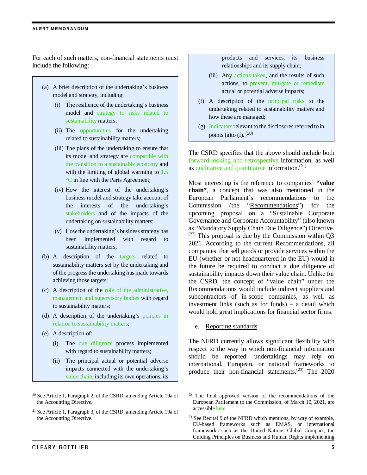For each of such matters, non-financial statements must include the following:

- (a) A brief description of the undertaking's business model and strategy, including:
	- (i) The resilience of the undertaking's business model and strategy to risks related to sustainability matters;
	- (ii) The opportunities for the undertaking related to sustainability matters;
	- (iii) The plans of the undertaking to ensure that its model and strategy are compatible with the transition to a sustainable economy and with the limiting of global warming to  $1.5$ °C in line with the Paris Agreement;
	- (iv) How the interest of the undertaking's business model and strategy take account of the interests of the undertaking's stakeholders and of the impacts of the undertaking on sustainability matters;
	- (v) How the undertaking's business strategy has been implemented with regard to sustainability matters;
- (b) A description of the targets related to sustainability matters set by the undertaking and of the progress the undertaking has made towards achieving those targets;
- (c) A description of the role of the administrative, management and supervisory bodies with regard to sustainability matters;
- (d) A description of the undertaking's policies in relation to sustainability matters;
- (e) A description of:
	- (i) The due diligence process implemented with regard to sustainability matters;
	- (ii) The principal actual or potential adverse impacts connected with the undertaking's value chain, including its own operations, its

products and services, its business relationships and its supply chain;

- (iii) Any actions taken, and the results of such actions, to prevent, mitigate or remediate actual or potential adverse impacts;
- (f) A description of the principal risks to the undertaking related to sustainability matters and how these are managed;
- $(g)$  Indicators relevant to the disclosures referred to in points (a)to (f).  $(20)$  $(20)$  $(20)$

The CSRD specifies that the above should include both forward-looking and retrospective information, as well as qualitative and quantitative information.<sup>([21\)](#page-4-1)</sup>

Most interesting is the reference to companies' **"value chain"**, a concept that was also mentioned in the European Parliament's recommendations to the Commission (the "Recommendations") for the upcoming proposal on a "Sustainable Corporate Governance and Corporate Accountability" (also known as "Mandatory Supply Chain Due Diligence") Directive.  $(22)$  $(22)$  $(22)$  This proposal is due by the Commission within Q3 2021. According to the current Recommendations, all companies that sell goods or provide services within the EU (whether or not headquartered in the EU) would in the future be required to conduct a due diligence of sustainability impacts down their value chain. Unlike for the CSRD, the concept of "value chain" under the Recommendations would include indirect suppliers and subcontractors of in-scope companies, as well as investment links (such as for funds) – a detail which would hold great implications for financial sector firms.

e. Reporting standards

The NFRD currently allows significant flexibility with respect to the way in which non-financial information should be reported: undertakings may rely on international, European, or national frameworks to produce their non-financial statements. $(23)$  $(23)$  $(23)$  The 2020

 $\ddot{\phantom{a}}$ 

<span id="page-4-0"></span><sup>20</sup> See Article 1, Paragraph 2, of the CSRD, amending Article 19a of the Accounting Directive.

<span id="page-4-2"></span><span id="page-4-1"></span><sup>21</sup> See Article 1, Paragraph 3, of the CSRD, amending Article 19a of the Accounting Directive.

<sup>22</sup> The final approved version of the recommendations of the European Parliament to the Commission, of March 10, 2021, are accessibl[e here.](https://www.europarl.europa.eu/doceo/document/TA-9-2021-0073_EN.html)

<sup>&</sup>lt;sup>23</sup> See Recital 9 of the NFRD which mentions, by way of example, EU-based frameworks such as EMAS, or international frameworks such as the United Nations Global Compact, the Guiding Principles on Business and Human Rights implementing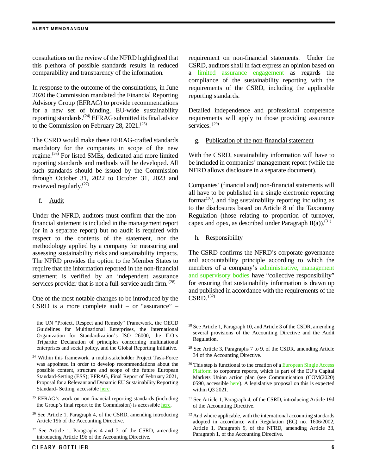consultations on the review of the NFRD highlighted that this plethora of possible standards results in reduced comparability and transparency of the information.

In response to the outcome of the consultations, in June 2020 the Commission mandated the Financial Reporting Advisory Group (EFRAG) to provide recommendations for a new set of binding, EU-wide sustainability reporting standards.<sup>([24](#page-5-0))</sup> EFRAG submitted its final advice to the Commission on February 28, 2021.<sup>([25\)](#page-5-1)</sup>

The CSRD would make these EFRAG-crafted standards mandatory for the companies in scope of the new regime. ([26](#page-5-2)) For listed SMEs, dedicated and more limited reporting standards and methods will be developed. All such standards should be issued by the Commission through October 31, 2022 to October 31, 2023 and reviewed regularly. $(27)$  $(27)$  $(27)$ 

f. Audit

<span id="page-5-4"></span> $\overline{a}$ 

Under the NFRD, auditors must confirm that the nonfinancial statement is included in the management report (or in a separate report) but no audit is required with respect to the contents of the statement, nor the methodology applied by a company for measuring and assessing sustainability risks and sustainability impacts. The NFRD provides the option to the Member States to require that the information reported in the non-financial statement is verified by an independent assurance services provider that is not a full-service audit firm. ([28\)](#page-5-4)

One of the most notable changes to be introduced by the CSRD is a more complete audit – or "assurance" –

- <span id="page-5-7"></span><span id="page-5-1"></span><sup>25</sup> EFRAG's work on non-financial reporting standards (including the Group's final report to the Commission) is accessible here.
- <span id="page-5-8"></span><span id="page-5-2"></span> $26$  See Article 1, Paragraph 4, of the CSRD, amending introducing Article 19b of the Accounting Directive.
- <span id="page-5-3"></span> $27$  See Article 1, Paragraphs 4 and 7, of the CSRD, amending introducing Article 19b of the Accounting Directive.

requirement on non-financial statements. Under the CSRD, auditors shall in fact express an opinion based on a limited assurance engagement as regards the compliance of the sustainability reporting with the requirements of the CSRD, including the applicable reporting standards.

Detailed independence and professional competence requirements will apply to those providing assurance services.<sup>([29](#page-5-5))</sup>

g. Publication of the non-financial statement

With the CSRD, sustainability information will have to be included in companies' management report (while the NFRD allows disclosure in a separate document).

Companies' (financial and) non-financial statements will all have to be published in a single electronic reporting format $(30)$  $(30)$ , and flag sustainability reporting including as to the disclosures based on Article 8 of the Taxonomy Regulation (those relating to proportion of turnover, capex and opex, as described under Paragraph  $II(a)$ .<sup>([31\)](#page-5-7)</sup>

h. Responsibility

The CSRD confirms the NFRD's corporate governance and accountability principle according to which the members of a company's administrative, management and supervisory bodies have "collective responsibility" for ensuring that sustainability information is drawn up and published in accordance with the requirements of the  $CSRD.$   $(32)$  $(32)$ 

- <sup>28</sup> See Article 1, Paragraph 10, and Article 3 of the CSDR, amending several provisions of the Accounting Directive and the Audit Regulation.
- <sup>29</sup> See Article 3, Paragraphs 7 to 9, of the CSDR, amending Article 34 of the Accounting Directive.
- <sup>30</sup> This step is functional to the creation of a European Single Access Platform to corporate reports, which is part of the EU's Capital Markets Union action plan (see Communication (COM(2020) 0590, accessible [here\)](https://eur-lex.europa.eu/legal-content/en/TXT/?uri=COM:2020:590:FIN). A legislative proposal on this is expected within Q3 2021.
- <sup>31</sup> See Article 1, Paragraph 4, of the CSRD, introducing Article 19d of the Accounting Directive.
- <sup>32</sup> And where applicable, with the international accounting standards adopted in accordance with Regulation (EC) no. 1606/2002, Article 1, Paragraph 9, of the NFRD, amending Article 33, Paragraph 1, of the Accounting Directive.

the UN "Protect, Respect and Remedy" Framework, the OECD Guidelines for Multinational Enterprises, the International Organization for Standardization's ISO 26000, the ILO's Tripartite Declaration of principles concerning multinational enterprises and social policy, and the Global Reporting Initiative.

<span id="page-5-6"></span><span id="page-5-5"></span><span id="page-5-0"></span><sup>&</sup>lt;sup>24</sup> Within this framework, a multi-stakeholder Project Task-Force was appointed in order to develop recommendations about the possible content, structure and scope of the future European Standard-Setting (ESS); EFRAG, Final Report of February 2021, Proposal for a Relevant and Dynamic EU Sustainability Reporting Standard- Setting, accessibl[e here.](https://www.efrag.org/Assets/Download?assetUrl=%2Fsites%2Fwebpublishing%2FSiteAssets%2FEFRAG%2520PTF-NFRS_MAIN_REPORT.pdf)